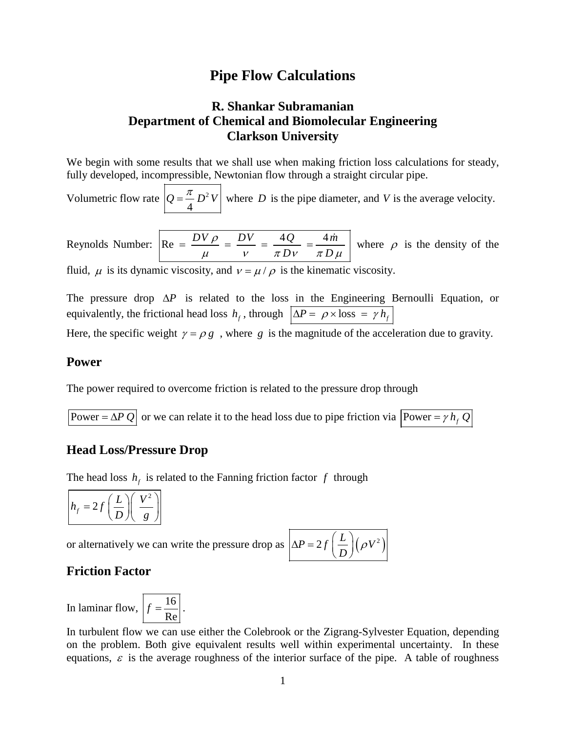# **Pipe Flow Calculations**

# **R. Shankar Subramanian Department of Chemical and Biomolecular Engineering Clarkson University**

We begin with some results that we shall use when making friction loss calculations for steady, fully developed, incompressible, Newtonian flow through a straight circular pipe.

Volumetric flow rate  $Q = \frac{\pi}{4} D^2 V$  where *D* is the pipe diameter, and *V* is the average velocity.

Reynolds Number:  $Re = \frac{DV \rho}{V} = \frac{AV}{V} = \frac{4Q}{V} = \frac{4m}{V}$  $Dv$   $\pi D$  $=\frac{DV\rho}{\mu}=\frac{DV}{\nu}=\frac{4Q}{\pi D\nu}=\frac{4\dot{m}}{\pi D\mu}$  where  $\rho$  is the density of the

fluid,  $\mu$  is its dynamic viscosity, and  $v = \mu / \rho$  is the kinematic viscosity.

The pressure drop ∆*P* is related to the loss in the Engineering Bernoulli Equation, or equivalently, the frictional head loss  $h_f$ , through  $\Delta P = \rho \times \text{loss} = \gamma h_f$ 

Here, the specific weight  $\gamma = \rho g$ , where *g* is the magnitude of the acceleration due to gravity.

### **Power**

The power required to overcome friction is related to the pressure drop through

Power =  $\Delta P Q$  or we can relate it to the head loss due to pipe friction via  $\boxed{\text{Power} = \gamma h_f Q}$ 

#### **Head Loss/Pressure Drop**

The head loss  $h_f$  is related to the Fanning friction factor  $f$  through

$$
h_f = 2f\left(\frac{L}{D}\right)\left(\frac{V^2}{g}\right)
$$

or alternatively we can write the pressure drop as  $\Delta$ 

$$
\Delta P = 2f\left(\frac{L}{D}\right)\left(\rho V^2\right)
$$

## **Friction Factor**

In laminar flow,  $f = \frac{16}{Re}$ .

In turbulent flow we can use either the Colebrook or the Zigrang-Sylvester Equation, depending on the problem. Both give equivalent results well within experimental uncertainty. In these equations,  $\varepsilon$  is the average roughness of the interior surface of the pipe. A table of roughness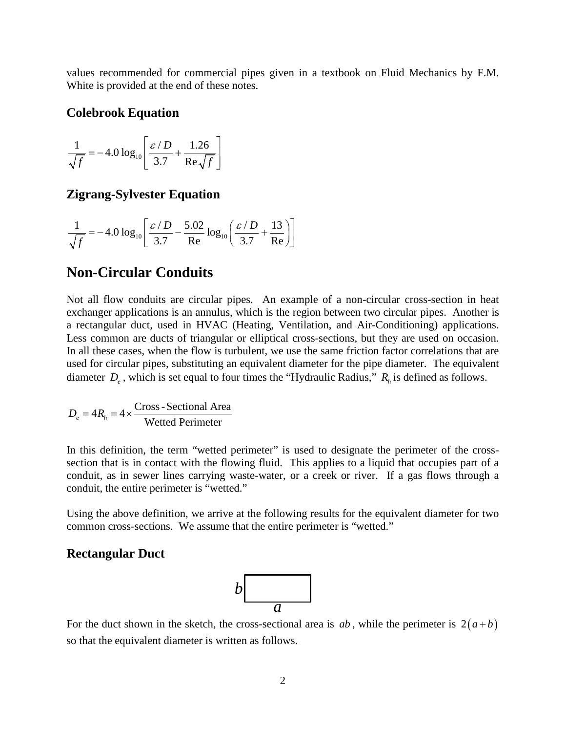values recommended for commercial pipes given in a textbook on Fluid Mechanics by F.M. White is provided at the end of these notes.

#### **Colebrook Equation**

$$
\frac{1}{\sqrt{f}} = -4.0 \log_{10} \left[ \frac{\varepsilon / D}{3.7} + \frac{1.26}{\text{Re} \sqrt{f}} \right]
$$

## **Zigrang-Sylvester Equation**

$$
\frac{1}{\sqrt{f}} = -4.0 \log_{10} \left[ \frac{\varepsilon / D}{3.7} - \frac{5.02}{\text{Re}} \log_{10} \left( \frac{\varepsilon / D}{3.7} + \frac{13}{\text{Re}} \right) \right]
$$

# **Non-Circular Conduits**

Not all flow conduits are circular pipes. An example of a non-circular cross-section in heat exchanger applications is an annulus, which is the region between two circular pipes. Another is a rectangular duct, used in HVAC (Heating, Ventilation, and Air-Conditioning) applications. Less common are ducts of triangular or elliptical cross-sections, but they are used on occasion. In all these cases, when the flow is turbulent, we use the same friction factor correlations that are used for circular pipes, substituting an equivalent diameter for the pipe diameter. The equivalent diameter  $D_e$ , which is set equal to four times the "Hydraulic Radius,"  $R_h$  is defined as follows.

$$
D_e = 4R_h = 4 \times \frac{Cross-Sectional Area}{Wetted Perimeter}
$$

In this definition, the term "wetted perimeter" is used to designate the perimeter of the crosssection that is in contact with the flowing fluid. This applies to a liquid that occupies part of a conduit, as in sewer lines carrying waste-water, or a creek or river. If a gas flows through a conduit, the entire perimeter is "wetted."

Using the above definition, we arrive at the following results for the equivalent diameter for two common cross-sections. We assume that the entire perimeter is "wetted."

#### **Rectangular Duct**



For the duct shown in the sketch, the cross-sectional area is  $ab$ , while the perimeter is  $2(a+b)$ so that the equivalent diameter is written as follows.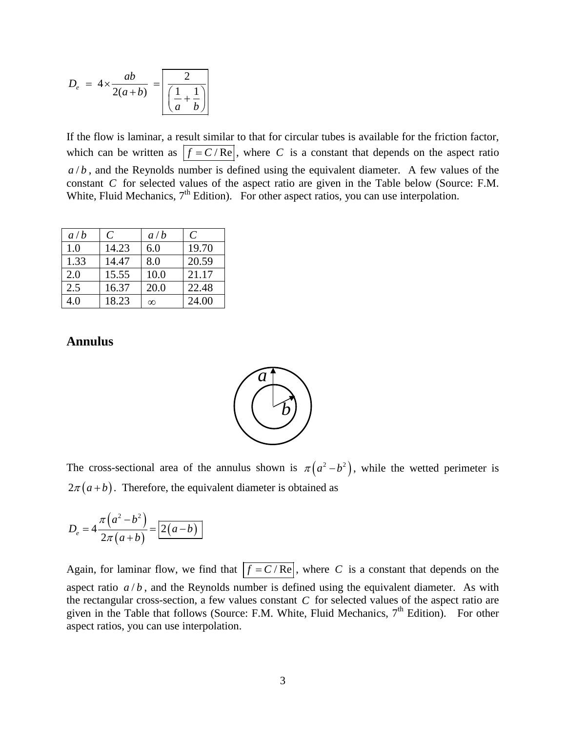$$
D_e = 4 \times \frac{ab}{2(a+b)} = \boxed{\frac{2}{\left(\frac{1}{a} + \frac{1}{b}\right)}}
$$

If the flow is laminar, a result similar to that for circular tubes is available for the friction factor, which can be written as  $f = C / Re$ , where *C* is a constant that depends on the aspect ratio  $a/b$ , and the Reynolds number is defined using the equivalent diameter. A few values of the constant *C* for selected values of the aspect ratio are given in the Table below (Source: F.M. White, Fluid Mechanics, 7<sup>th</sup> Edition). For other aspect ratios, you can use interpolation.

| a/b  | $\mathcal{C}_{\mathcal{C}}$ | a/b      | C     |
|------|-----------------------------|----------|-------|
| 1.0  | 14.23                       | 6.0      | 19.70 |
| 1.33 | 14.47                       | 8.0      | 20.59 |
| 2.0  | 15.55                       | 10.0     | 21.17 |
| 2.5  | 16.37                       | 20.0     | 22.48 |
| 4.0  | 18.23                       | $\infty$ | 24.00 |

## **Annulus**



The cross-sectional area of the annulus shown is  $\pi ( a^2 - b^2 )$ , while the wetted perimeter is  $2\pi(a+b)$ . Therefore, the equivalent diameter is obtained as

$$
D_e = 4 \frac{\pi (a^2 - b^2)}{2\pi (a+b)} = \boxed{2(a-b)}
$$

Again, for laminar flow, we find that  $f = C / Re$ , where *C* is a constant that depends on the aspect ratio  $a/b$ , and the Reynolds number is defined using the equivalent diameter. As with the rectangular cross-section, a few values constant *C* for selected values of the aspect ratio are given in the Table that follows (Source: F.M. White, Fluid Mechanics, 7<sup>th</sup> Edition). For other aspect ratios, you can use interpolation.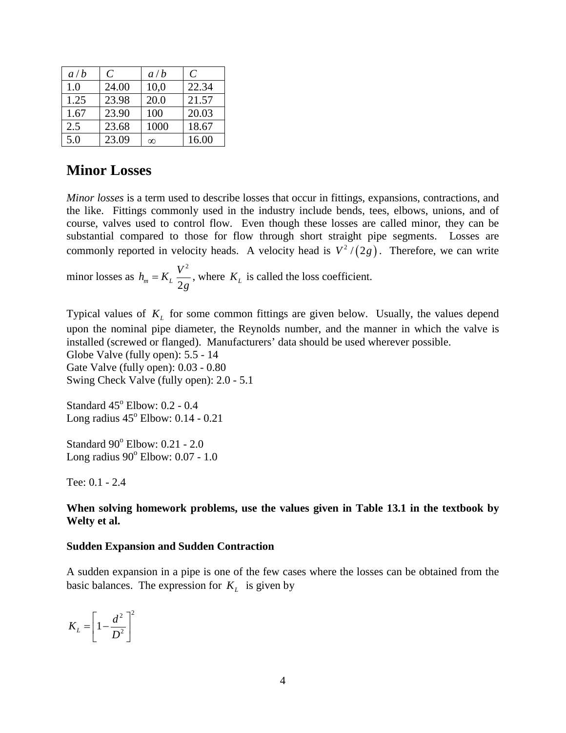| a/b  | C     | a/b      | $\mathcal{C}_{0}$ |
|------|-------|----------|-------------------|
| 1.0  | 24.00 | 10,0     | 22.34             |
| 1.25 | 23.98 | 20.0     | 21.57             |
| 1.67 | 23.90 | 100      | 20.03             |
| 2.5  | 23.68 | 1000     | 18.67             |
| 5.0  | 23.09 | $\infty$ | 16.00             |

# **Minor Losses**

*Minor losses* is a term used to describe losses that occur in fittings, expansions, contractions, and the like. Fittings commonly used in the industry include bends, tees, elbows, unions, and of course, valves used to control flow. Even though these losses are called minor, they can be substantial compared to those for flow through short straight pipe segments. Losses are commonly reported in velocity heads. A velocity head is  $\frac{v^2}{2g}$ . Therefore, we can write

minor losses as 2  $m - \frac{R_L}{2}$  $h_m = K_L \frac{V^2}{2g}$ , where  $K_L$  is called the loss coefficient.

Typical values of  $K<sub>L</sub>$  for some common fittings are given below. Usually, the values depend upon the nominal pipe diameter, the Reynolds number, and the manner in which the valve is installed (screwed or flanged). Manufacturers' data should be used wherever possible. Globe Valve (fully open): 5.5 - 14 Gate Valve (fully open): 0.03 - 0.80 Swing Check Valve (fully open): 2.0 - 5.1

Standard  $45^{\circ}$  Elbow: 0.2 - 0.4 Long radius  $45^{\circ}$  Elbow: 0.14 - 0.21

Standard 90° Elbow: 0.21 - 2.0 Long radius  $90^\circ$  Elbow:  $0.07 - 1.0$ 

Tee: 0.1 - 2.4

#### **When solving homework problems, use the values given in Table 13.1 in the textbook by Welty et al.**

#### **Sudden Expansion and Sudden Contraction**

A sudden expansion in a pipe is one of the few cases where the losses can be obtained from the basic balances. The expression for  $K_L$  is given by

$$
K_L = \left[1 - \frac{d^2}{D^2}\right]^2
$$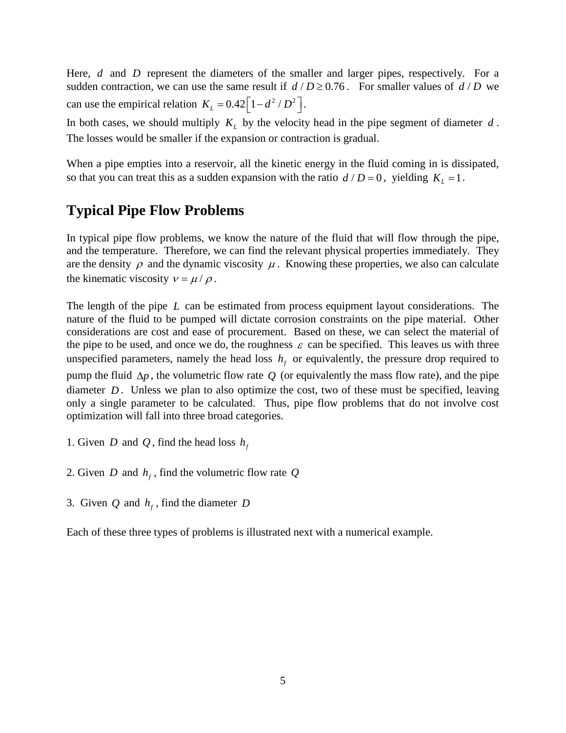Here, *d* and *D* represent the diameters of the smaller and larger pipes, respectively. For a sudden contraction, we can use the same result if  $d/D \ge 0.76$ . For smaller values of  $d/D$  we can use the empirical relation  $K_L = 0.42 \left[ 1 - d^2 / D^2 \right]$ .

In both cases, we should multiply  $K<sub>L</sub>$  by the velocity head in the pipe segment of diameter  $d$ . The losses would be smaller if the expansion or contraction is gradual.

When a pipe empties into a reservoir, all the kinetic energy in the fluid coming in is dissipated, so that you can treat this as a sudden expansion with the ratio  $d/D = 0$ , yielding  $K_L = 1$ .

# **Typical Pipe Flow Problems**

In typical pipe flow problems, we know the nature of the fluid that will flow through the pipe, and the temperature. Therefore, we can find the relevant physical properties immediately. They are the density  $\rho$  and the dynamic viscosity  $\mu$ . Knowing these properties, we also can calculate the kinematic viscosity  $v = \mu / \rho$ .

The length of the pipe *L* can be estimated from process equipment layout considerations. The nature of the fluid to be pumped will dictate corrosion constraints on the pipe material. Other considerations are cost and ease of procurement. Based on these, we can select the material of the pipe to be used, and once we do, the roughness  $\varepsilon$  can be specified. This leaves us with three unspecified parameters, namely the head loss  $h<sub>f</sub>$  or equivalently, the pressure drop required to pump the fluid ∆*p* , the volumetric flow rate *Q* (or equivalently the mass flow rate), and the pipe diameter *D*. Unless we plan to also optimize the cost, two of these must be specified, leaving only a single parameter to be calculated. Thus, pipe flow problems that do not involve cost optimization will fall into three broad categories.

- 1. Given *D* and *Q*, find the head loss  $h_f$
- 2. Given *D* and  $h_f$ , find the volumetric flow rate *Q*
- 3. Given  $Q$  and  $h_f$ , find the diameter  $D$

Each of these three types of problems is illustrated next with a numerical example.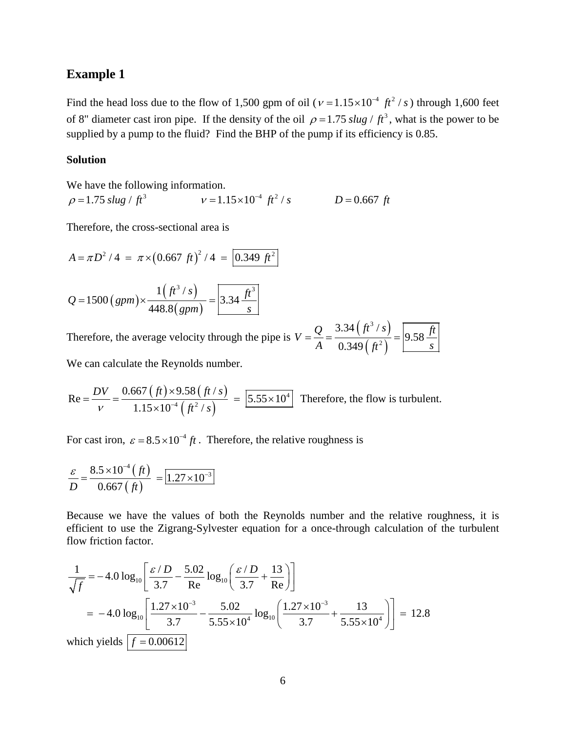#### **Example 1**

Find the head loss due to the flow of 1,500 gpm of oil ( $v = 1.15 \times 10^{-4}$   $ft^2$  /s) through 1,600 feet of 8" diameter cast iron pipe. If the density of the oil  $\rho = 1.75$  *slug ft*<sup>3</sup>, what is the power to be supplied by a pump to the fluid? Find the BHP of the pump if its efficiency is 0.85.

#### **Solution**

We have the following information.

 $\rho = 1.75 \text{ slug} / ft^3$   $v = 1.15 \times 10^{-4} ft^2 / s$   $D = 0.667 ft$ 

Therefore, the cross-sectional area is

$$
A = \pi D^2 / 4 = \pi \times (0.667 \text{ ft})^2 / 4 = 0.349 \text{ ft}^2
$$

$$
Q = 1500 \left(gpm\right) \times \frac{1 \left(ft^3 / s\right)}{448.8 \left(gpm\right)} = \boxed{3.34 \frac{ft^3}{s}}
$$

Therefore, the average velocity through the pipe is  $V = \frac{Q}{I} = \frac{3.34 (ft^3/s)}{(1.25)(1.25)}$  $({\it ft}^{\rm 2})$ 3 2 3.34  $(f t^3)$ 9.58 0.349  $V = \frac{Q}{t} = \frac{3.34 (ft^3/s)}{2.044 (ft^3/s)} = 9.58 \frac{ft}{s}$  $=\frac{Q}{A}=\frac{(3.349 \, (\textit{ft}^2))}{0.349 \, (\textit{ft}^2)}=\left[9.58 \, \frac{3.49 \, (\textit{ft}^2)}{1.56 \, \text{s}^2}\right]$ 

We can calculate the Reynolds number.

 $(ft) \times 9.58 (ft/s)$  $\left( \int f^{2}/s\right)$ 4 4  $\int f_4^2$  $0.667$  (  $ft$  )  $\times$   $9.58$  (  $ft$  /  $Re = \frac{B_x}{1.5} = \frac{3.55 \times 10^{14} \text{ J} \cdot \text{s} \cdot \text{kg} \cdot \text{s}}{2.55 \times 10^{14} \text{ J} \cdot \text{s}} = 5.55 \times 10^{14}$  $1.15\times 10^{-4}$  ( $ft^2$  /  $DV = 0.667 (ft) \times 9.58 (ft/s)$  $v = 1.15 \times 10^{-4} \left( \frac{ft^2}{s} \right)$  $=\frac{DV}{t} = \frac{0.667 (ft) \times 9.58 (ft/s)}{t} = 5.55 \times$  $\frac{x}{(f^2 + 5.000)} = \frac{5.55 \times 10^4}{2 \times 10^{-4} (ft^2/s)}$  Therefore, the flow is turbulent.

For cast iron,  $\varepsilon = 8.5 \times 10^{-4}$  *ft*. Therefore, the relative roughness is

$$
\frac{\varepsilon}{D} = \frac{8.5 \times 10^{-4} \left( \text{ft} \right)}{0.667 \left( \text{ft} \right)} = \boxed{1.27 \times 10^{-3}}
$$

Because we have the values of both the Reynolds number and the relative roughness, it is efficient to use the Zigrang-Sylvester equation for a once-through calculation of the turbulent flow friction factor.

$$
\frac{1}{\sqrt{f}} = -4.0 \log_{10} \left[ \frac{\varepsilon / D}{3.7} - \frac{5.02}{\text{Re}} \log_{10} \left( \frac{\varepsilon / D}{3.7} + \frac{13}{\text{Re}} \right) \right]
$$
  
= -4.0 log<sub>10</sub>  $\left[ \frac{1.27 \times 10^{-3}}{3.7} - \frac{5.02}{5.55 \times 10^{4}} \log_{10} \left( \frac{1.27 \times 10^{-3}}{3.7} + \frac{13}{5.55 \times 10^{4}} \right) \right] = 12.8$   
which yields  $\left[ f = 0.00612 \right]$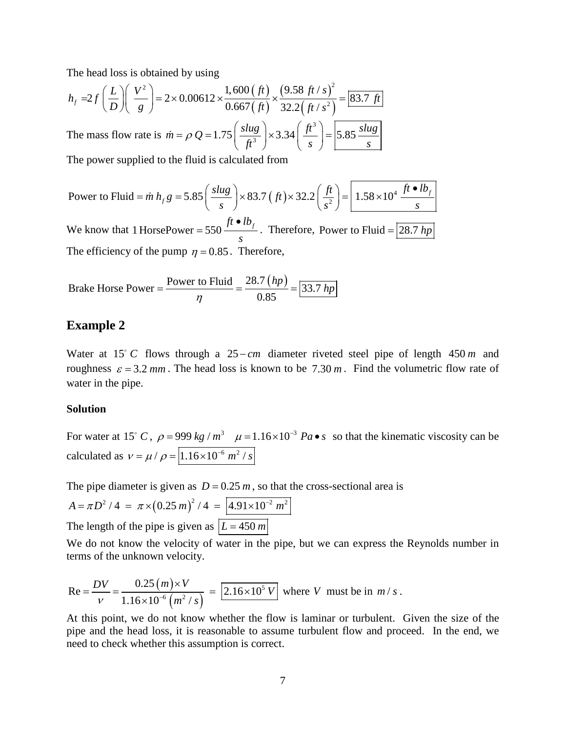The head loss is obtained by using

$$
h_f = 2f\left(\frac{L}{D}\right)\left(\frac{V^2}{g}\right) = 2 \times 0.00612 \times \frac{1,600 \text{ (ft)}}{0.667 \text{ (ft)}} \times \frac{\text{(9.58 ft/s)}^2}{32.2 \text{ (ft/s}^2)} = 83.7 \text{ ft}
$$

The mass flow rate is  $\dot{m} = \rho Q = 1.75 \left( \frac{s l u g}{f t^3} \right) \times 3.34 \left( \frac{f t^3}{s} \right) = 5.85 \frac{s l u g}{s}$ ρ  $\dot{n} = \rho Q = 1.75 \left( \frac{3\mu g}{ft^3} \right) \times 3.34 \left( \frac{ft}{s} \right) =$ 

The power supplied to the fluid is calculated from

Power to Fluid = 
$$
\dot{m} h_f g = 5.85 \left( \frac{s l u g}{s} \right) \times 83.7 \left( \dot{f} t \right) \times 32.2 \left( \frac{f t}{s^2} \right) = \boxed{1.58 \times 10^4 \frac{\dot{f} t \cdot l b_f}{s}}
$$

We know that 1 HorsePower = 550  $\frac{ft \cdot lb_f}{}$ *s*  $=$  550  $\frac{ft \cdot lb_f}{=}$ . Therefore, Power to Fluid  $=$   $\boxed{28.7 \, hp}$ The efficiency of the pump  $\eta = 0.85$ . Therefore,

Brake Horse Power = 
$$
\frac{\text{Power to Fluid}}{\eta} = \frac{28.7 \, (hp)}{0.85} = \boxed{33.7 \, hp}
$$

### **Example 2**

Water at 15 *C* flows through a 25 − *cm* diameter riveted steel pipe of length 450 *m* and roughness  $\varepsilon = 3.2$  *mm*. The head loss is known to be 7.30 *m*. Find the volumetric flow rate of water in the pipe.

#### **Solution**

For water at 15° *C*,  $\rho = 999 kg/m^3$   $\mu = 1.16 \times 10^{-3} Pa \cdot s$  so that the kinematic viscosity can be calculated as  $v = \mu / \rho = \sqrt{1.16 \times 10^{-6} m^2 / s}$ 

The pipe diameter is given as  $D = 0.25 m$ , so that the cross-sectional area is

$$
A = \pi D^2 / 4 = \pi \times (0.25 \, m)^2 / 4 = \boxed{4.91 \times 10^{-2} \, m^2}
$$
  
The length of the pipe is given as  $\boxed{L = 450 \, m}$ 

We do not know the velocity of water in the pipe, but we can express the Reynolds number in terms of the unknown velocity.

Re = 
$$
\frac{DV}{V}
$$
 =  $\frac{0.25 (m) \times V}{1.16 \times 10^{-6} (m^2 / s)}$  =  $\boxed{2.16 \times 10^5 V}$  where V must be in m/s.

At this point, we do not know whether the flow is laminar or turbulent. Given the size of the pipe and the head loss, it is reasonable to assume turbulent flow and proceed. In the end, we need to check whether this assumption is correct.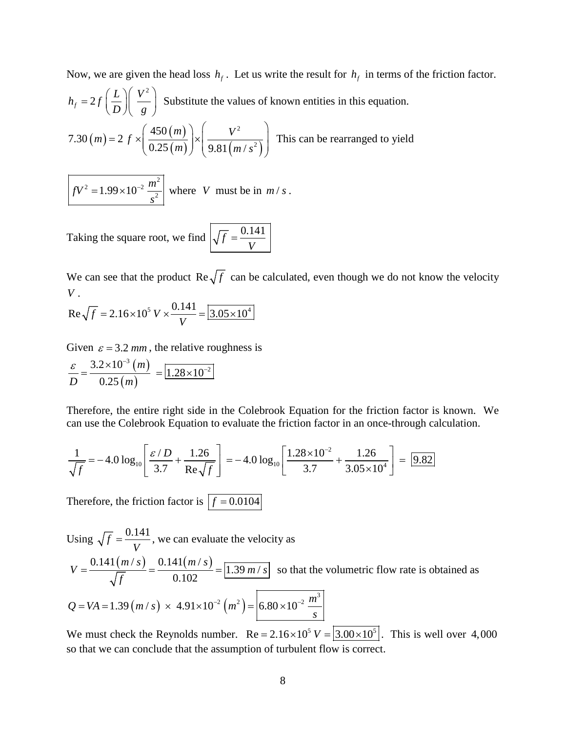Now, we are given the head loss  $h_f$ . Let us write the result for  $h_f$  in terms of the friction factor. 2  $h_f = 2f\left(\frac{L}{D}\right)\left(\frac{V^2}{g}\right)$  Substitute the values of known entities in this equation.  $(m) = 2 f \times \frac{450(m)}{225(n)}$  $(m)$  | 9.81  $(m/s^2)$ 2 2 450  $7.30(m) = 2$  $0.25(m)$  | 9.81  $(m/$  $m = 2 f \times \left( \frac{450(m)}{225(1)} \right) \times \left( \frac{V}{2.25(m)} \right)$ *m*)  $\int$  | 9.81 (*m* / *s*  $(450(m))$   $\begin{pmatrix} 1 & v^2 & v^2 \end{pmatrix}$  $=2 f \times \frac{436(m)}{0.25(n)} \times \frac{v}{0.01(n+2)}$  $(0.25(m)) (9.81(m/s<sup>2</sup>))$ This can be rearranged to yield

 $fV^2 = 1.99 \times 10^{-2} \frac{m^2}{s^2}$  $= 1.99 \times 10^{-2} \frac{m}{\lambda}$  where *V* must be in *m / s*.

Taking the square root, we find  $\sqrt{f} = \frac{0.141}{V}$ 

We can see that the product  $\text{Re}\sqrt{f}$  can be calculated, even though we do not know the velocity *V* .

Re
$$
\sqrt{f}
$$
 = 2.16×10<sup>5</sup> V ×  $\frac{0.141}{V}$  =  $\boxed{3.05 \times 10^4}$ 

Given  $\varepsilon = 3.2$  *mm*, the relative roughness is

$$
\frac{\varepsilon}{D} = \frac{3.2 \times 10^{-3} (m)}{0.25 (m)} = \boxed{1.28 \times 10^{-2}}
$$

Therefore, the entire right side in the Colebrook Equation for the friction factor is known. We can use the Colebrook Equation to evaluate the friction factor in an once-through calculation.

$$
\frac{1}{\sqrt{f}} = -4.0 \log_{10} \left[ \frac{\varepsilon / D}{3.7} + \frac{1.26}{\text{Re}\sqrt{f}} \right] = -4.0 \log_{10} \left[ \frac{1.28 \times 10^{-2}}{3.7} + \frac{1.26}{3.05 \times 10^{4}} \right] = 9.82
$$

Therefore, the friction factor is  $f = 0.0104$ 

Using  $\sqrt{f} = \frac{0.141}{V}$ , we can evaluate the velocity as  $\frac{0.141(m/s)}{\sqrt{2}} = \frac{0.141(m/s)}{0.139(m/s)} = \sqrt{1.39(m/s)}$ 0.102  $m/s$ ) 0.141( $m/s$ )  $V = \frac{0.1 \text{ H} \left(\frac{m}{v}\right) g}{\sqrt{f}} = \frac{0.1 \text{ H} \left(\frac{m}{v}\right) g}{0.102} = \boxed{1.39 \text{ m/s}}$  so that the volumetric flow rate is obtained as  $(m / s) \times 4.91 \times 10^{-2} (m^2)$  $Q = VA = 1.39 (m/s) \times 4.91 \times 10^{-2} (m^2) = 6.80 \times 10^{-2} \frac{m^3}{m^3}$ *s*  $= VA = 1.39 (m/s) \times 4.91 \times 10^{-2} (m^2) = |6.80 \times 10^{-2}$ 

We must check the Reynolds number.  $Re = 2.16 \times 10^5 V = \left| \frac{3.00 \times 10^5}{2.00 \times 10^5} \right|$ . This is well over 4,000 so that we can conclude that the assumption of turbulent flow is correct.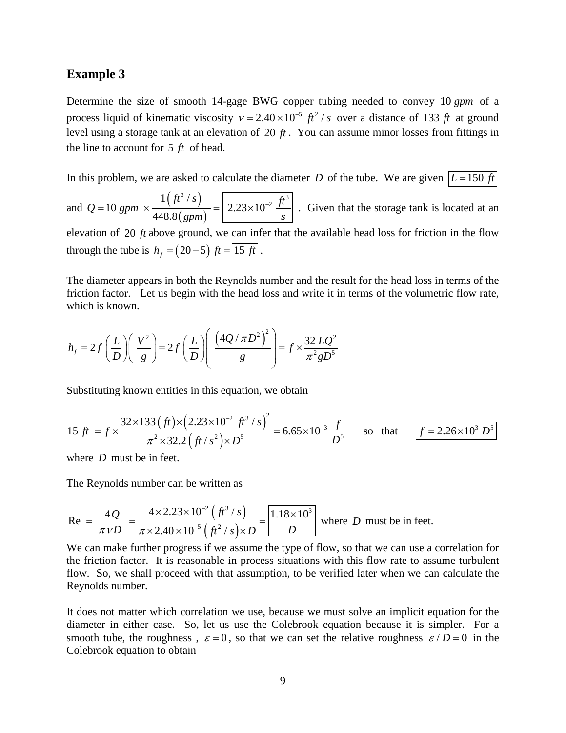#### **Example 3**

Determine the size of smooth 14-gage BWG copper tubing needed to convey 10 *gpm* of a process liquid of kinematic viscosity  $v = 2.40 \times 10^{-5}$   $ft^2$  / *s* over a distance of 133 *ft* at ground level using a storage tank at an elevation of 20 *ft* . You can assume minor losses from fittings in the line to account for 5 *ft* of head.

In this problem, we are asked to calculate the diameter *D* of the tube. We are given  $|L=150 \text{ ft}|$ 

and 
$$
Q = 10
$$
 gpm  $\times \frac{1 (ft^3 / s)}{448.8 (gpm)} = 2.23 \times 10^{-2} \frac{ft^3}{s}$ . Given that the storage tank is located at an

elevation of 20 *ft* above ground, we can infer that the available head loss for friction in the flow through the tube is  $h_f = (20-5) \text{ ft} = 15 \text{ ft}.$ 

The diameter appears in both the Reynolds number and the result for the head loss in terms of the friction factor. Let us begin with the head loss and write it in terms of the volumetric flow rate, which is known.

$$
h_f = 2f\left(\frac{L}{D}\right)\left(\frac{V^2}{g}\right) = 2f\left(\frac{L}{D}\right)\left(\frac{(4Q/\pi D^2)^2}{g}\right) = f \times \frac{32 LQ^2}{\pi^2 g D^5}
$$

Substituting known entities in this equation, we obtain

$$
15 \text{ ft} = f \times \frac{32 \times 133 \left(\text{ ft}\right) \times \left(2.23 \times 10^{-2} \text{ ft}^3/\text{s}\right)^2}{\pi^2 \times 32.2 \left(\text{ ft}/\text{s}^2\right) \times D^5} = 6.65 \times 10^{-3} \frac{\text{ ft}}{D^5} \qquad \text{so that} \qquad \boxed{f = 2.26 \times 10^3 \text{ D}^5}
$$

where *D* must be in feet.

The Reynolds number can be written as

Re = 
$$
\frac{4Q}{\pi vD} = \frac{4 \times 2.23 \times 10^{-2} (\hat{f}^3 / s)}{\pi \times 2.40 \times 10^{-5} (\hat{f}^2 / s) \times D} = \frac{1.18 \times 10^3}{D}
$$
 where *D* must be in feet.

We can make further progress if we assume the type of flow, so that we can use a correlation for the friction factor. It is reasonable in process situations with this flow rate to assume turbulent flow. So, we shall proceed with that assumption, to be verified later when we can calculate the Reynolds number.

It does not matter which correlation we use, because we must solve an implicit equation for the diameter in either case. So, let us use the Colebrook equation because it is simpler. For a smooth tube, the roughness,  $\varepsilon = 0$ , so that we can set the relative roughness  $\varepsilon / D = 0$  in the Colebrook equation to obtain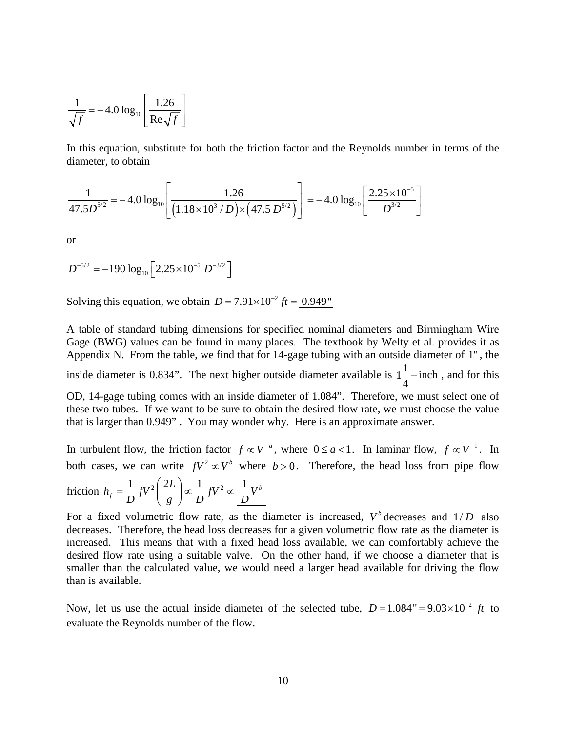$$
\frac{1}{\sqrt{f}} = -4.0 \log_{10} \left[ \frac{1.26}{\text{Re} \sqrt{f}} \right]
$$

In this equation, substitute for both the friction factor and the Reynolds number in terms of the diameter, to obtain

$$
\frac{1}{47.5D^{5/2}} = -4.0 \log_{10} \left[ \frac{1.26}{\left( 1.18 \times 10^3 / D \right) \times \left( 47.5 D^{5/2} \right)} \right] = -4.0 \log_{10} \left[ \frac{2.25 \times 10^{-5}}{D^{3/2}} \right]
$$

or

$$
D^{-5/2} = -190 \log_{10} \left[ 2.25 \times 10^{-5} D^{-3/2} \right]
$$

Solving this equation, we obtain  $D = 7.91 \times 10^{-2}$  *ft* =  $\sqrt{0.949}$ 

A table of standard tubing dimensions for specified nominal diameters and Birmingham Wire Gage (BWG) values can be found in many places. The textbook by Welty et al. provides it as Appendix N. From the table, we find that for 14-gage tubing with an outside diameter of 1" , the inside diameter is 0.834". The next higher outside diameter available is  $1\frac{1}{4}$ 4 −inch , and for this OD, 14-gage tubing comes with an inside diameter of 1.084". Therefore, we must select one of these two tubes. If we want to be sure to obtain the desired flow rate, we must choose the value that is larger than 0.949" . You may wonder why. Here is an approximate answer.

In turbulent flow, the friction factor  $f \propto V^{-a}$ , where  $0 \le a < 1$ . In laminar flow,  $f \propto V^{-1}$ . In both cases, we can write  $fV^2 \propto V^b$  where  $b > 0$ . Therefore, the head loss from pipe flow

friction 
$$
h_f = \frac{1}{D} fV^2 \left(\frac{2L}{g}\right) \propto \frac{1}{D} fV^2 \propto \left| \frac{1}{D} V^b \right|
$$

For a fixed volumetric flow rate, as the diameter is increased,  $V^b$  decreases and  $1/D$  also decreases. Therefore, the head loss decreases for a given volumetric flow rate as the diameter is increased. This means that with a fixed head loss available, we can comfortably achieve the desired flow rate using a suitable valve. On the other hand, if we choose a diameter that is smaller than the calculated value, we would need a larger head available for driving the flow than is available.

Now, let us use the actual inside diameter of the selected tube,  $D = 1.084" = 9.03 \times 10^{-2}$  ft to evaluate the Reynolds number of the flow.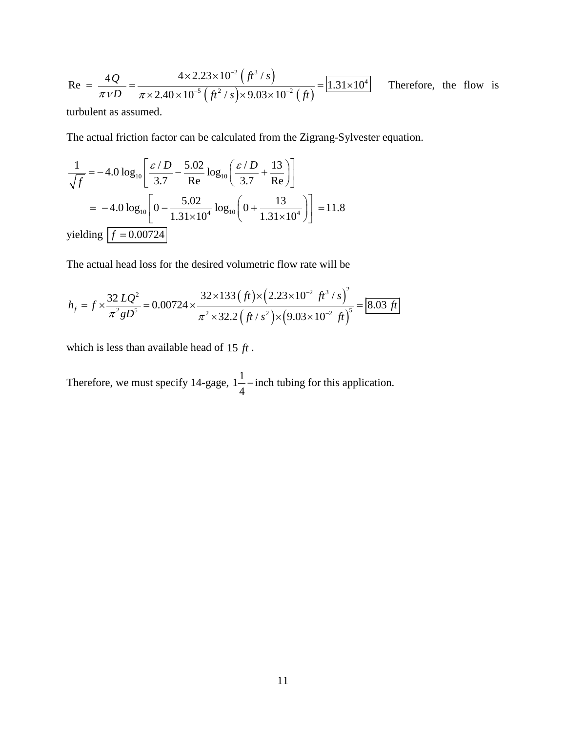Re = 
$$
\frac{4Q}{\pi vD} = \frac{4 \times 2.23 \times 10^{-2} (ft^3/s)}{\pi \times 2.40 \times 10^{-5} (ft^2/s) \times 9.03 \times 10^{-2} (ft)} = 1.31 \times 10^4
$$
 Therefore, the flow is

turbulent as assumed.

The actual friction factor can be calculated from the Zigrang-Sylvester equation.

$$
\frac{1}{\sqrt{f}} = -4.0 \log_{10} \left[ \frac{\varepsilon / D}{3.7} - \frac{5.02}{\text{Re}} \log_{10} \left( \frac{\varepsilon / D}{3.7} + \frac{13}{\text{Re}} \right) \right]
$$
  
= -4.0 log<sub>10</sub>  $\left[ 0 - \frac{5.02}{1.31 \times 10^4} \log_{10} \left( 0 + \frac{13}{1.31 \times 10^4} \right) \right] = 11.8$   
yielding  $\left[ f = 0.00724 \right]$ 

The actual head loss for the desired volumetric flow rate will be

$$
h_f = f \times \frac{32 \, LQ^2}{\pi^2 g D^5} = 0.00724 \times \frac{32 \times 133 \, (ft) \times (2.23 \times 10^{-2} \, ft^3 / s)^2}{\pi^2 \times 32.2 \, (ft / s^2) \times (9.03 \times 10^{-2} \, ft)^5} = 8.03 \, ft
$$

which is less than available head of 15 *ft* .

Therefore, we must specify 14-gage,  $1\frac{1}{2}$ 4 −inch tubing for this application.